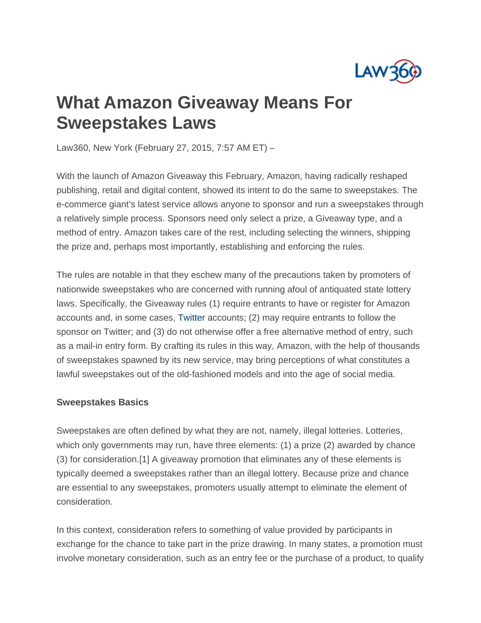

## **What Amazon Giveaway Means For Sweepstakes Laws**

Law360, New York (February 27, 2015, 7:57 AM ET) –

With the launch of Amazon Giveaway this February, Amazon, having radically reshaped publishing, retail and digital content, showed its intent to do the same to sweepstakes. The e-commerce giant's latest service allows anyone to sponsor and run a sweepstakes through a relatively simple process. Sponsors need only select a prize, a Giveaway type, and a method of entry. Amazon takes care of the rest, including selecting the winners, shipping the prize and, perhaps most importantly, establishing and enforcing the rules.

The rules are notable in that they eschew many of the precautions taken by promoters of nationwide sweepstakes who are concerned with running afoul of antiquated state lottery laws. Specifically, the Giveaway rules (1) require entrants to have or register for Amazon accounts and, in some cases, Twitter accounts; (2) may require entrants to follow the sponsor on Twitter; and (3) do not otherwise offer a free alternative method of entry, such as a mail-in entry form. By crafting its rules in this way, Amazon, with the help of thousands of sweepstakes spawned by its new service, may bring perceptions of what constitutes a lawful sweepstakes out of the old-fashioned models and into the age of social media.

## **Sweepstakes Basics**

Sweepstakes are often defined by what they are not, namely, illegal lotteries. Lotteries, which only governments may run, have three elements: (1) a prize (2) awarded by chance (3) for consideration.[1] A giveaway promotion that eliminates any of these elements is typically deemed a sweepstakes rather than an illegal lottery. Because prize and chance are essential to any sweepstakes, promoters usually attempt to eliminate the element of consideration.

In this context, consideration refers to something of value provided by participants in exchange for the chance to take part in the prize drawing. In many states, a promotion must involve monetary consideration, such as an entry fee or the purchase of a product, to qualify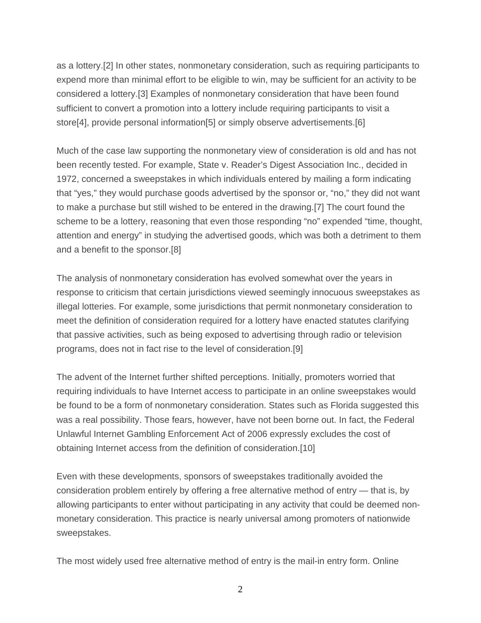as a lottery.[2] In other states, nonmonetary consideration, such as requiring participants to expend more than minimal effort to be eligible to win, may be sufficient for an activity to be considered a lottery.[3] Examples of nonmonetary consideration that have been found sufficient to convert a promotion into a lottery include requiring participants to visit a store[4], provide personal information[5] or simply observe advertisements.[6]

Much of the case law supporting the nonmonetary view of consideration is old and has not been recently tested. For example, State v. Reader's Digest Association Inc., decided in 1972, concerned a sweepstakes in which individuals entered by mailing a form indicating that "yes," they would purchase goods advertised by the sponsor or, "no," they did not want to make a purchase but still wished to be entered in the drawing.[7] The court found the scheme to be a lottery, reasoning that even those responding "no" expended "time, thought, attention and energy" in studying the advertised goods, which was both a detriment to them and a benefit to the sponsor.[8]

The analysis of nonmonetary consideration has evolved somewhat over the years in response to criticism that certain jurisdictions viewed seemingly innocuous sweepstakes as illegal lotteries. For example, some jurisdictions that permit nonmonetary consideration to meet the definition of consideration required for a lottery have enacted statutes clarifying that passive activities, such as being exposed to advertising through radio or television programs, does not in fact rise to the level of consideration.[9]

The advent of the Internet further shifted perceptions. Initially, promoters worried that requiring individuals to have Internet access to participate in an online sweepstakes would be found to be a form of nonmonetary consideration. States such as Florida suggested this was a real possibility. Those fears, however, have not been borne out. In fact, the Federal Unlawful Internet Gambling Enforcement Act of 2006 expressly excludes the cost of obtaining Internet access from the definition of consideration.[10]

Even with these developments, sponsors of sweepstakes traditionally avoided the consideration problem entirely by offering a free alternative method of entry — that is, by allowing participants to enter without participating in any activity that could be deemed nonmonetary consideration. This practice is nearly universal among promoters of nationwide sweepstakes.

The most widely used free alternative method of entry is the mail-in entry form. Online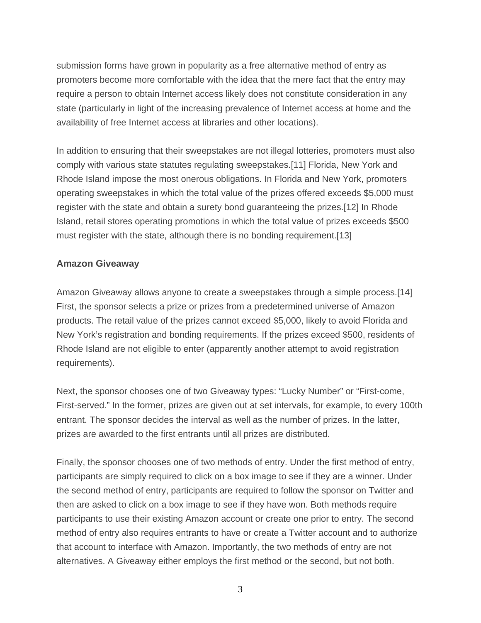submission forms have grown in popularity as a free alternative method of entry as promoters become more comfortable with the idea that the mere fact that the entry may require a person to obtain Internet access likely does not constitute consideration in any state (particularly in light of the increasing prevalence of Internet access at home and the availability of free Internet access at libraries and other locations).

In addition to ensuring that their sweepstakes are not illegal lotteries, promoters must also comply with various state statutes regulating sweepstakes.[11] Florida, New York and Rhode Island impose the most onerous obligations. In Florida and New York, promoters operating sweepstakes in which the total value of the prizes offered exceeds \$5,000 must register with the state and obtain a surety bond guaranteeing the prizes.[12] In Rhode Island, retail stores operating promotions in which the total value of prizes exceeds \$500 must register with the state, although there is no bonding requirement.[13]

## **Amazon Giveaway**

Amazon Giveaway allows anyone to create a sweepstakes through a simple process.[14] First, the sponsor selects a prize or prizes from a predetermined universe of Amazon products. The retail value of the prizes cannot exceed \$5,000, likely to avoid Florida and New York's registration and bonding requirements. If the prizes exceed \$500, residents of Rhode Island are not eligible to enter (apparently another attempt to avoid registration requirements).

Next, the sponsor chooses one of two Giveaway types: "Lucky Number" or "First-come, First-served." In the former, prizes are given out at set intervals, for example, to every 100th entrant. The sponsor decides the interval as well as the number of prizes. In the latter, prizes are awarded to the first entrants until all prizes are distributed.

Finally, the sponsor chooses one of two methods of entry. Under the first method of entry, participants are simply required to click on a box image to see if they are a winner. Under the second method of entry, participants are required to follow the sponsor on Twitter and then are asked to click on a box image to see if they have won. Both methods require participants to use their existing Amazon account or create one prior to entry. The second method of entry also requires entrants to have or create a Twitter account and to authorize that account to interface with Amazon. Importantly, the two methods of entry are not alternatives. A Giveaway either employs the first method or the second, but not both.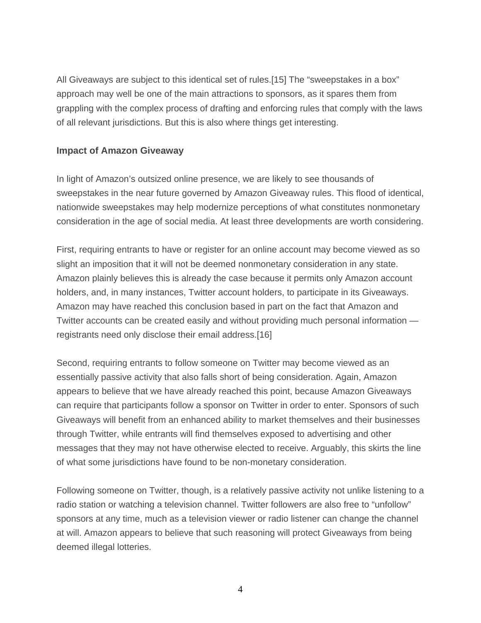All Giveaways are subject to this identical set of rules.[15] The "sweepstakes in a box" approach may well be one of the main attractions to sponsors, as it spares them from grappling with the complex process of drafting and enforcing rules that comply with the laws of all relevant jurisdictions. But this is also where things get interesting.

## **Impact of Amazon Giveaway**

In light of Amazon's outsized online presence, we are likely to see thousands of sweepstakes in the near future governed by Amazon Giveaway rules. This flood of identical, nationwide sweepstakes may help modernize perceptions of what constitutes nonmonetary consideration in the age of social media. At least three developments are worth considering.

First, requiring entrants to have or register for an online account may become viewed as so slight an imposition that it will not be deemed nonmonetary consideration in any state. Amazon plainly believes this is already the case because it permits only Amazon account holders, and, in many instances, Twitter account holders, to participate in its Giveaways. Amazon may have reached this conclusion based in part on the fact that Amazon and Twitter accounts can be created easily and without providing much personal information registrants need only disclose their email address.[16]

Second, requiring entrants to follow someone on Twitter may become viewed as an essentially passive activity that also falls short of being consideration. Again, Amazon appears to believe that we have already reached this point, because Amazon Giveaways can require that participants follow a sponsor on Twitter in order to enter. Sponsors of such Giveaways will benefit from an enhanced ability to market themselves and their businesses through Twitter, while entrants will find themselves exposed to advertising and other messages that they may not have otherwise elected to receive. Arguably, this skirts the line of what some jurisdictions have found to be non-monetary consideration.

Following someone on Twitter, though, is a relatively passive activity not unlike listening to a radio station or watching a television channel. Twitter followers are also free to "unfollow" sponsors at any time, much as a television viewer or radio listener can change the channel at will. Amazon appears to believe that such reasoning will protect Giveaways from being deemed illegal lotteries.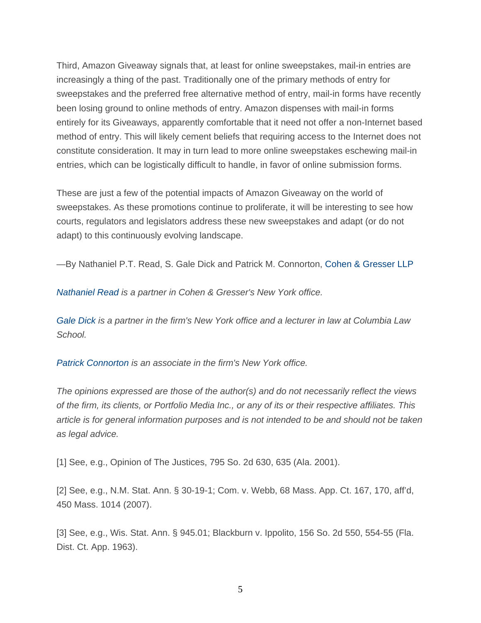Third, Amazon Giveaway signals that, at least for online sweepstakes, mail-in entries are increasingly a thing of the past. Traditionally one of the primary methods of entry for sweepstakes and the preferred free alternative method of entry, mail-in forms have recently been losing ground to online methods of entry. Amazon dispenses with mail-in forms entirely for its Giveaways, apparently comfortable that it need not offer a non-Internet based method of entry. This will likely cement beliefs that requiring access to the Internet does not constitute consideration. It may in turn lead to more online sweepstakes eschewing mail-in entries, which can be logistically difficult to handle, in favor of online submission forms.

These are just a few of the potential impacts of Amazon Giveaway on the world of sweepstakes. As these promotions continue to proliferate, it will be interesting to see how courts, regulators and legislators address these new sweepstakes and adapt (or do not adapt) to this continuously evolving landscape.

—By Nathaniel P.T. Read, S. Gale Dick and Patrick M. Connorton, Cohen & Gresser LLP

*Nathaniel Read is a partner in Cohen & Gresser's New York office.* 

*Gale Dick is a partner in the firm's New York office and a lecturer in law at Columbia Law School.* 

*Patrick Connorton is an associate in the firm's New York office.*

*The opinions expressed are those of the author(s) and do not necessarily reflect the views of the firm, its clients, or Portfolio Media Inc., or any of its or their respective affiliates. This article is for general information purposes and is not intended to be and should not be taken as legal advice.*

[1] See, e.g., Opinion of The Justices, 795 So. 2d 630, 635 (Ala. 2001).

[2] See, e.g., N.M. Stat. Ann. § 30-19-1; Com. v. Webb, 68 Mass. App. Ct. 167, 170, aff'd, 450 Mass. 1014 (2007).

[3] See, e.g., Wis. Stat. Ann. § 945.01; Blackburn v. Ippolito, 156 So. 2d 550, 554-55 (Fla. Dist. Ct. App. 1963).